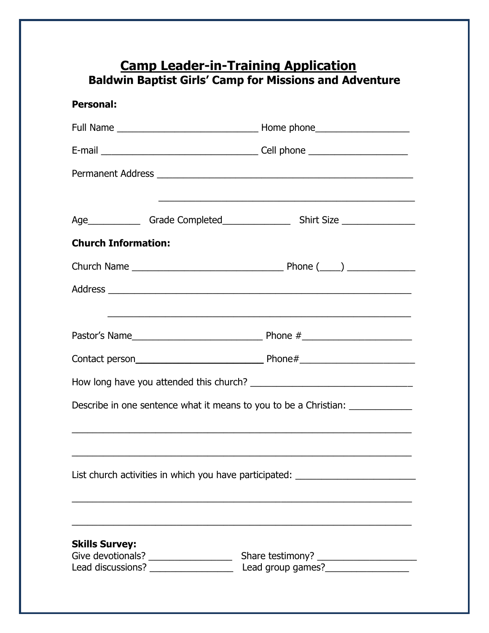## **Camp Leader-in-Training Application Baldwin Baptist Girls' Camp for Missions and Adventure**

| <b>Personal:</b>                                                                 |                                                                                                                                                                                                                               |
|----------------------------------------------------------------------------------|-------------------------------------------------------------------------------------------------------------------------------------------------------------------------------------------------------------------------------|
|                                                                                  |                                                                                                                                                                                                                               |
|                                                                                  |                                                                                                                                                                                                                               |
|                                                                                  |                                                                                                                                                                                                                               |
|                                                                                  |                                                                                                                                                                                                                               |
|                                                                                  |                                                                                                                                                                                                                               |
| <b>Church Information:</b>                                                       |                                                                                                                                                                                                                               |
|                                                                                  |                                                                                                                                                                                                                               |
|                                                                                  |                                                                                                                                                                                                                               |
|                                                                                  |                                                                                                                                                                                                                               |
|                                                                                  |                                                                                                                                                                                                                               |
|                                                                                  | Contact person entertainment and phone the Phone that the contact person and the Phone that the Phone that the Contact and the Contact of the Contact and the Contact and the Contact and the Contact and the Contact and the |
|                                                                                  |                                                                                                                                                                                                                               |
| Describe in one sentence what it means to you to be a Christian: _______________ |                                                                                                                                                                                                                               |
|                                                                                  |                                                                                                                                                                                                                               |
|                                                                                  |                                                                                                                                                                                                                               |
| List church activities in which you have participated: _________________________ |                                                                                                                                                                                                                               |
|                                                                                  |                                                                                                                                                                                                                               |
|                                                                                  |                                                                                                                                                                                                                               |
| <b>Skills Survey:</b>                                                            |                                                                                                                                                                                                                               |
|                                                                                  |                                                                                                                                                                                                                               |
|                                                                                  |                                                                                                                                                                                                                               |